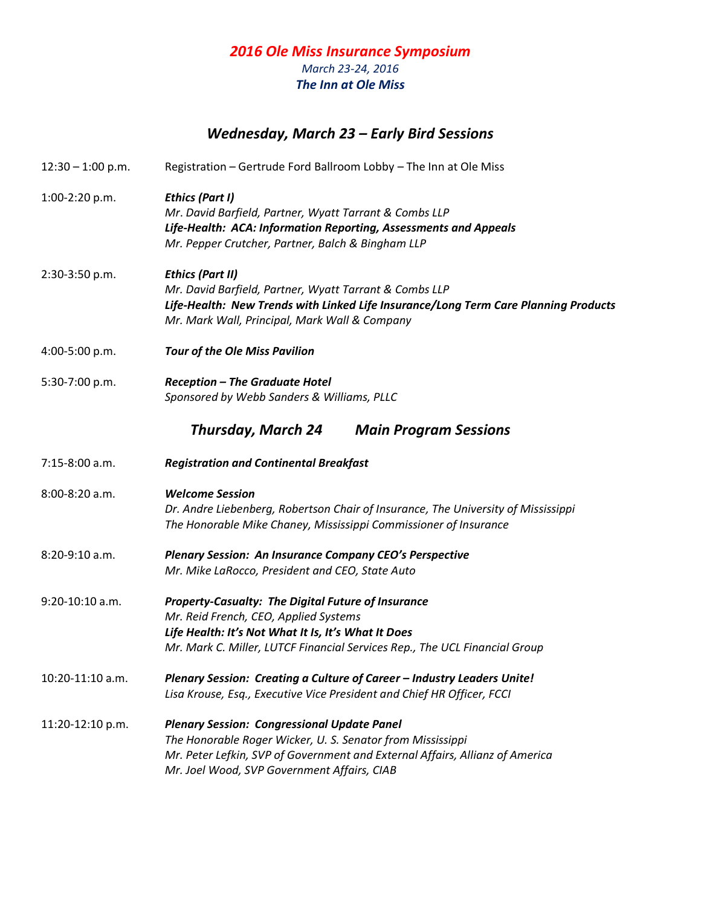## *2016 Ole Miss Insurance Symposium March 23-24, 2016 The Inn at Ole Miss*

## *Wednesday, March 23 – Early Bird Sessions*

12:30 – 1:00 p.m. Registration – Gertrude Ford Ballroom Lobby – The Inn at Ole Miss 1:00-2:20 p.m. *Ethics (Part I) Mr*. *David Barfield, Partner, Wyatt Tarrant & Combs LLP Life-Health:**ACA: Information Reporting, Assessments and Appeals Mr. Pepper Crutcher, Partner, Balch & Bingham LLP* 2:30-3:50 p.m. *Ethics (Part II) Mr. David Barfield, Partner, Wyatt Tarrant & Combs LLP Life-Health: New Trends with Linked Life Insurance/Long Term Care Planning Products Mr. Mark Wall, Principal, Mark Wall & Company* 4:00-5:00 p.m. *Tour of the Ole Miss Pavilion* 5:30-7:00 p.m. *Reception – The Graduate Hotel Sponsored by Webb Sanders & Williams, PLLC Thursday, March 24 Main Program Sessions* 7:15-8:00 a.m. *Registration and Continental Breakfast* 8:00-8:20 a.m. *Welcome Session Dr. Andre Liebenberg, Robertson Chair of Insurance, The University of Mississippi The Honorable Mike Chaney, Mississippi Commissioner of Insurance* 8:20-9:10 a.m. *Plenary Session: An Insurance Company CEO's Perspective Mr. Mike LaRocco, President and CEO, State Auto* 9:20-10:10 a.m. *Property-Casualty: The Digital Future of Insurance Mr. Reid French, CEO, Applied Systems Life Health: It's Not What It Is, It's What It Does Mr. Mark C. Miller, LUTCF Financial Services Rep., The UCL Financial Group* 10:20-11:10 a.m. *Plenary Session: Creating a Culture of Career – Industry Leaders Unite! Lisa Krouse, Esq., Executive Vice President and Chief HR Officer, FCCI* 11:20-12:10 p.m. *Plenary Session: Congressional Update Panel The Honorable Roger Wicker, U. S. Senator from Mississippi Mr. Peter Lefkin, SVP of Government and External Affairs, Allianz of America Mr. Joel Wood, SVP Government Affairs, CIAB*